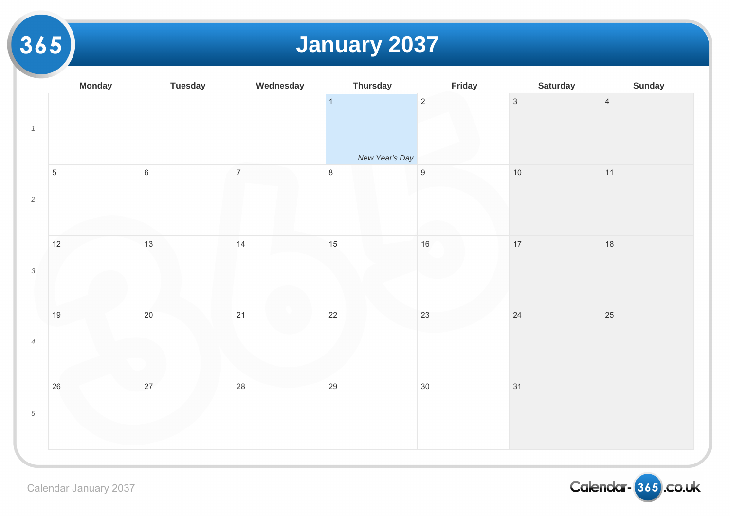# **January 2037**

|                               | <b>Monday</b> | <b>Tuesday</b> | Wednesday      | <b>Thursday</b> | Friday           |                |
|-------------------------------|---------------|----------------|----------------|-----------------|------------------|----------------|
| $\it 1$                       |               |                |                | $\overline{1}$  | $\overline{2}$   | $\overline{3}$ |
|                               |               |                |                | New Year's Day  |                  |                |
| $\overline{c}$                | $\sqrt{5}$    | $\,$ 6 $\,$    | $\overline{7}$ | $\,8\,$         | $\boldsymbol{9}$ | $10$           |
|                               |               |                |                |                 |                  |                |
| $\sqrt{3}$                    | 12            | 13             | 14             | 15              | $16\,$           | $17$           |
|                               |               |                |                |                 |                  |                |
| $\ensuremath{\mathnormal{4}}$ | 19            | $20\,$         | 21             | 22              | 23               | 24             |
|                               |               |                |                |                 |                  |                |
| $\sqrt{5}$                    | 26            | 27             | 28             | 29              | $30\,$           | 31             |
|                               |               |                |                |                 |                  |                |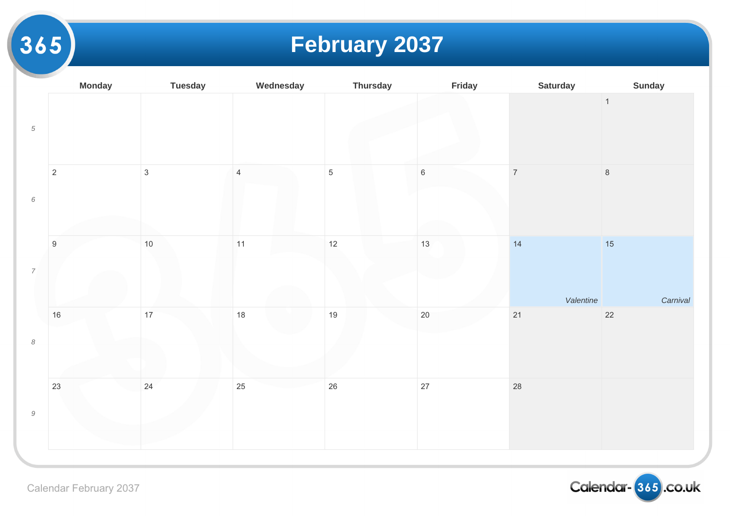### **February 2037**

|                                                           | <b>Monday</b>    | <b>Tuesday</b> | Wednesday      | <b>Thursday</b> | Friday  |                |
|-----------------------------------------------------------|------------------|----------------|----------------|-----------------|---------|----------------|
| $\sqrt{5}$                                                |                  |                |                |                 |         |                |
| $\,6\,$                                                   | $\overline{c}$   | $\mathbf{3}$   | $\overline{4}$ | $\sqrt{5}$      | $\,6\,$ | $\overline{7}$ |
| $\ensuremath{7}$                                          | $\boldsymbol{9}$ | $10$           | 11             | $12$            | 13      | 14             |
| $\boldsymbol{\mathcal{S}}$                                | $16\,$           | 17             | 18             | 19              | $20\,$  | 21             |
| $\mathcal{G}% _{M_{1},M_{2}}^{\alpha,\beta}(\varepsilon)$ | 23               | 24             | 25             | 26              | 27      | 28             |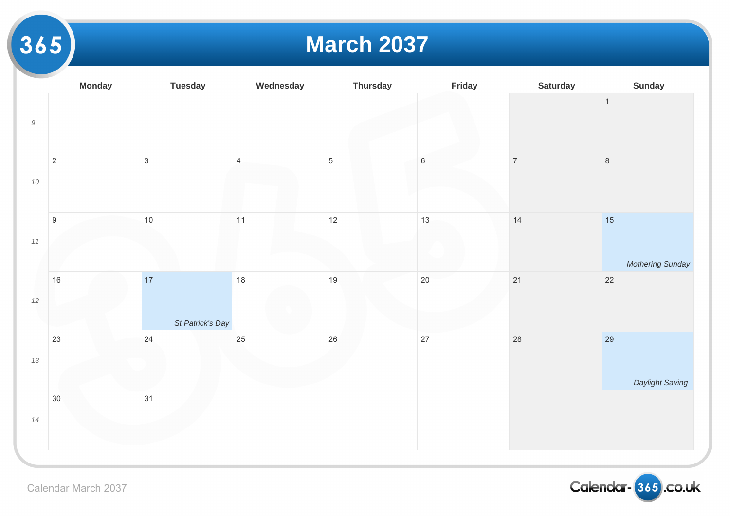#### **March 2037**

|           | <b>Monday</b>    | <b>Tuesday</b>         | Wednesday      | <b>Thursday</b> | Friday  |       |
|-----------|------------------|------------------------|----------------|-----------------|---------|-------|
| $\cal{G}$ |                  |                        |                |                 |         |       |
| $10\,$    | $\overline{c}$   | $\mathbf{3}$           | $\overline{4}$ | $\overline{5}$  | $\,6\,$ | $\,7$ |
| $11\,$    | $\boldsymbol{9}$ | $10$                   | $11$           | $12$            | 13      | $14$  |
| 12        | 16               | 17<br>St Patrick's Day | 18             | 19              | 20      | 21    |
| $13\,$    | 23               | $24\,$                 | 25             | 26              | 27      | 28    |
| $14$      | 30               | 31                     |                |                 |         |       |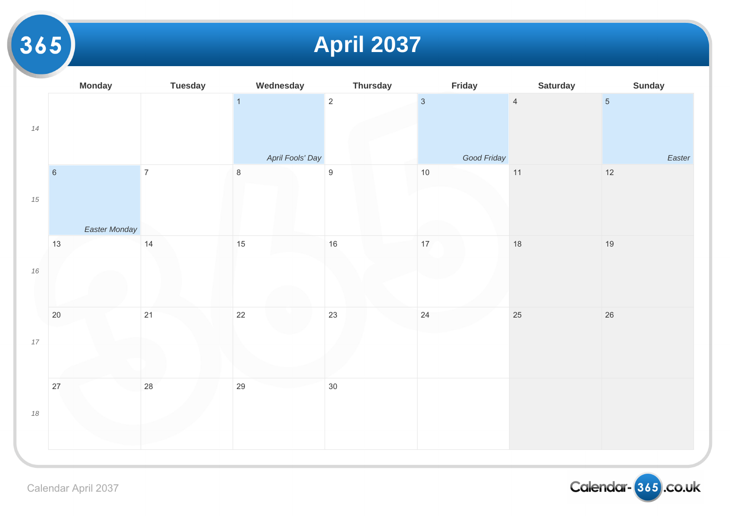# **April 2037**

|        | <b>Monday</b>       | <b>Tuesday</b> | Wednesday                          | <b>Thursday</b>  | Friday                        |                |
|--------|---------------------|----------------|------------------------------------|------------------|-------------------------------|----------------|
| 14     |                     |                | $\overline{1}$<br>April Fools' Day | $\overline{2}$   | $\overline{3}$<br>Good Friday | $\overline{4}$ |
| $15\,$ | $6\phantom{a}$      | $\overline{7}$ | $\,8\,$                            | $\boldsymbol{9}$ | $10$                          | $11$           |
|        | Easter Monday<br>13 | 14             | 15                                 | 16               | 17                            | 18             |
| $16\,$ |                     |                |                                    |                  |                               |                |
| $17\,$ | $20\,$              | 21             | 22                                 | 23               | 24                            | 25             |
| $18\,$ | $27\,$              | 28             | 29                                 | $30\,$           |                               |                |
|        |                     |                |                                    |                  |                               |                |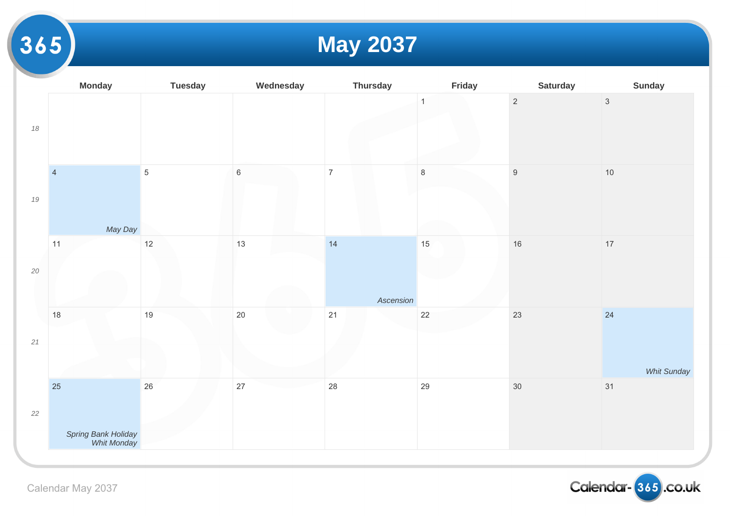### **May 2037**

|        | <b>Monday</b>                      | <b>Tuesday</b> | Wednesday | <b>Thursday</b> | Friday       |                  |
|--------|------------------------------------|----------------|-----------|-----------------|--------------|------------------|
| $18\,$ |                                    |                |           |                 | $\mathbf{1}$ | $\overline{2}$   |
| $19\,$ | $\overline{4}$                     | $\,$ 5 $\,$    | $\,6\,$   | $\overline{7}$  | $\,8\,$      | $\boldsymbol{9}$ |
|        | May Day                            |                |           |                 |              |                  |
| $20\,$ | 11                                 | $12$           | 13        | 14              | $15\,$       | $16\,$           |
|        |                                    |                |           | Ascension       |              |                  |
|        | 18                                 | 19             | $20\,$    | 21              | 22           | 23               |
| $21$   |                                    |                |           |                 |              |                  |
|        | 25                                 | $26\,$         | $27\,$    | 28              | 29           | $30\,$           |
| $22\,$ | Spring Bank Holiday<br>Whit Monday |                |           |                 |              |                  |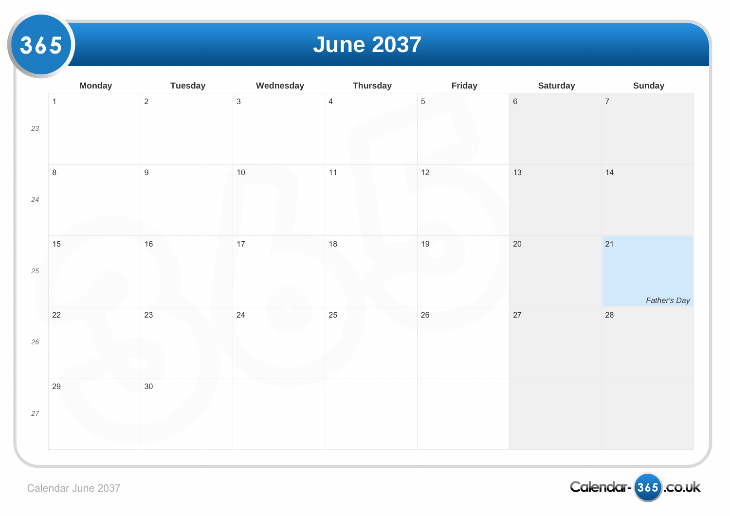### **June 2037**

|        | <b>Monday</b> | <b>Tuesday</b>   | Wednesday    | <b>Thursday</b> | Friday          |                 |
|--------|---------------|------------------|--------------|-----------------|-----------------|-----------------|
| $23\,$ | $\mathbf{1}$  | $\overline{2}$   | $\mathbf{3}$ | $\overline{4}$  | $5\phantom{.0}$ | $6\overline{6}$ |
| $24\,$ | $\,8\,$       | $\boldsymbol{9}$ | $10$         | 11              | 12              | 13              |
| $25\,$ | 15            | $16\,$           | 17           | 18              | $19$            | $20\,$          |
| $26\,$ | $22\,$        | 23               | 24           | 25              | $26\,$          | $27$            |
| $27\,$ | 29            | $30\,$           |              |                 |                 |                 |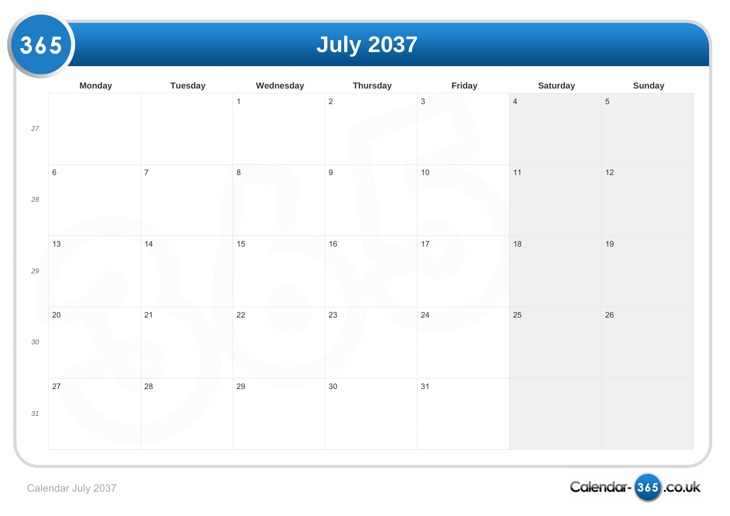# **July 2037**

|        | <b>Monday</b> | <b>Tuesday</b> | Wednesday    | <b>Thursday</b>  | Friday          |                |
|--------|---------------|----------------|--------------|------------------|-----------------|----------------|
| $27\,$ |               |                | $\mathbf{1}$ | $\overline{c}$   | $\mathbf{3}$    | $\overline{4}$ |
| $28\,$ | $\,6\,$       | $\overline{7}$ | $\bf 8$      | $\boldsymbol{9}$ | $10$            | 11             |
| $29\,$ | 13            | 14             | 15           | 16               | 17 <sub>2</sub> | $18$           |
| $30\,$ | $20\,$        | 21             | 22           | 23               | 24              | 25             |
| 31     | $27\,$        | 28             | 29           | 30               | 31              |                |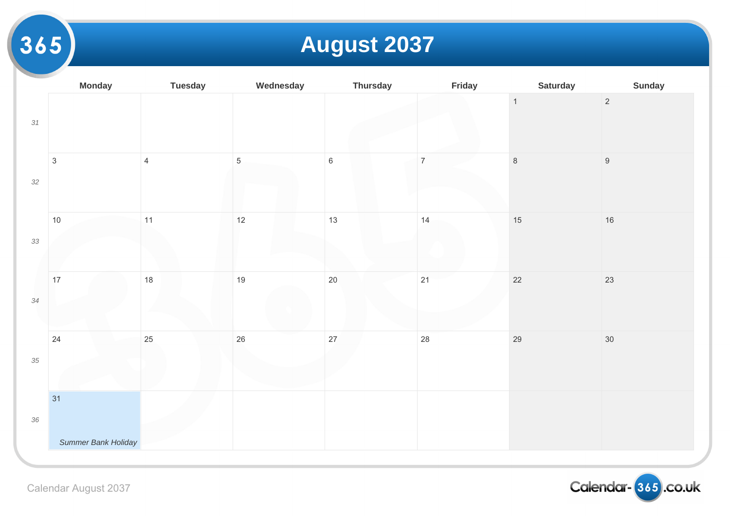# **August 2037**

|        | <b>Monday</b>             | <b>Tuesday</b> | Wednesday      | <b>Thursday</b> | Friday         |                |
|--------|---------------------------|----------------|----------------|-----------------|----------------|----------------|
| 31     |                           |                |                |                 |                | $\overline{1}$ |
| $32\,$ | $\ensuremath{\mathsf{3}}$ | $\overline{4}$ | $\overline{5}$ | $\,$ 6 $\,$     | $\overline{7}$ | $\,8\,$        |
| 33     | $10$                      | 11             | 12             | 13              | 14             | $15$           |
| 34     | 17                        | 18             | 19             | $20\,$          | 21             | $22\,$         |
| $35\,$ | 24                        | 25             | 26             | 27              | 28             | 29             |
|        | 31                        |                |                |                 |                |                |
| $36\,$ | Summer Bank Holiday       |                |                |                 |                |                |
|        |                           |                |                |                 |                |                |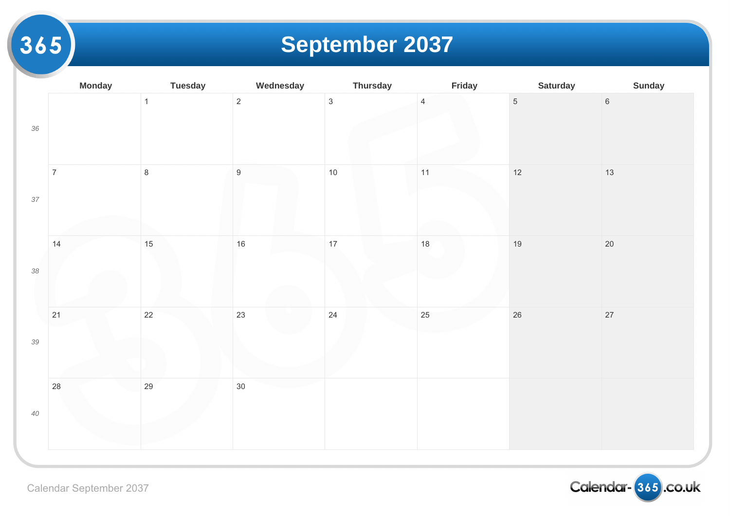# **September 2037**

|        | <b>Monday</b>  | <b>Tuesday</b> | Wednesday        | <b>Thursday</b> | Friday         |                |
|--------|----------------|----------------|------------------|-----------------|----------------|----------------|
| $36\,$ |                | $\overline{1}$ | $\overline{c}$   | $\mathbf{3}$    | $\overline{4}$ | $\overline{5}$ |
| $37\,$ | $\overline{7}$ | $\bf 8$        | $\boldsymbol{9}$ | $10$            | 11             | $12$           |
| $38\,$ | 14             | 15             | $16\,$           | 17              | $18$           | 19             |
| 39     | 21             | 22             | 23               | 24              | 25             | $26\,$         |
| $40\,$ | 28             | 29             | $30\,$           |                 |                |                |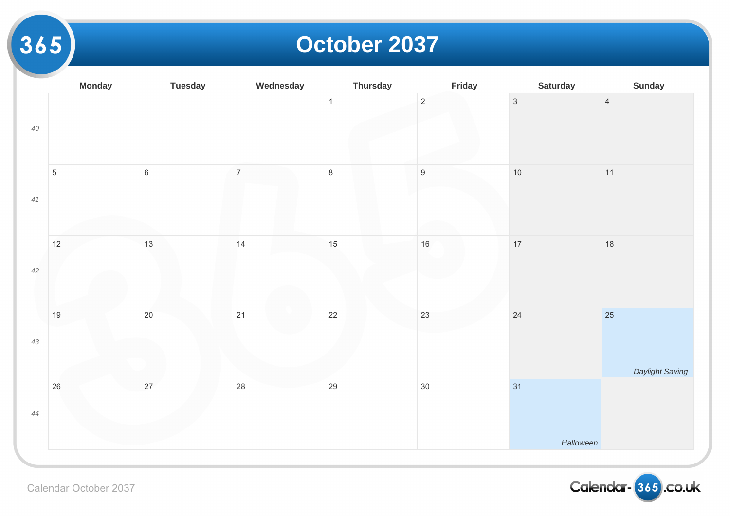#### **October 2037**

|        | <b>Monday</b>  | <b>Tuesday</b> | Wednesday      | <b>Thursday</b> | Friday           |                |
|--------|----------------|----------------|----------------|-----------------|------------------|----------------|
| $40\,$ |                |                |                | $\overline{1}$  | $\overline{2}$   | $\overline{3}$ |
| 41     | $\overline{5}$ | $\,$ 6 $\,$    | $\overline{7}$ | $\,8\,$         | $\boldsymbol{9}$ | $10$           |
| $42\,$ | $12$           | $13$           | 14             | 15              | $16\,$           | $17$           |
| $43\,$ | $19$           | $20\,$         | 21             | $22\,$          | 23               | 24             |
| 44     | $26\,$         | 27             | 28             | 29              | $30\,$           | 31             |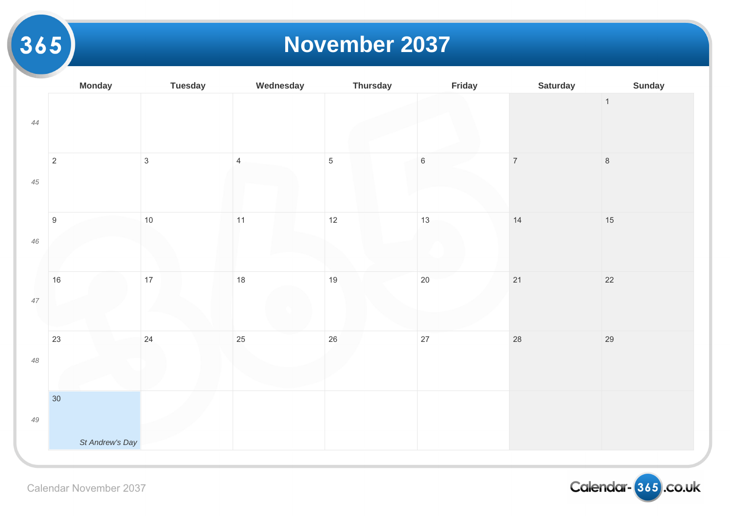#### **November 2037**

|             | <b>Monday</b>    | <b>Tuesday</b> | Wednesday      | <b>Thursday</b> | Friday  |       |
|-------------|------------------|----------------|----------------|-----------------|---------|-------|
| $44$        |                  |                |                |                 |         |       |
| $45\,$      | $\sqrt{2}$       | $\mathfrak{S}$ | $\overline{4}$ | $\overline{5}$  | $\,6\,$ | $\,7$ |
| $46\,$      | $\boldsymbol{9}$ | $10$           | 11             | $12$            | 13      | 14    |
| 47          | 16               | $17$           | $18$           | 19              | 20      | $21$  |
| $48\,$      | 23               | 24             | 25             | 26              | 27      | 28    |
| $\sqrt{49}$ | 30               |                |                |                 |         |       |
|             | St Andrew's Day  |                |                |                 |         |       |